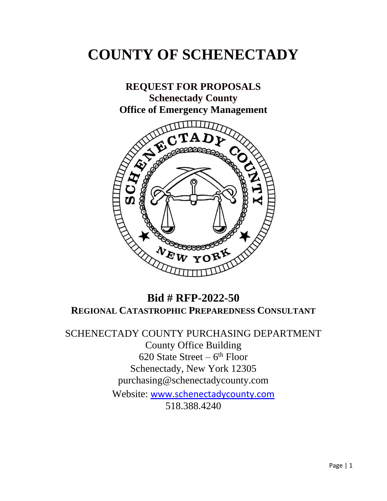# **COUNTY OF SCHENECTADY**



# **Bid # RFP-2022-50 REGIONAL CATASTROPHIC PREPAREDNESS CONSULTANT**

SCHENECTADY COUNTY PURCHASING DEPARTMENT County Office Building  $620$  State Street  $-6<sup>th</sup>$  Floor Schenectady, New York 12305 purchasing@schenectadycounty.com Website: [www.schenectadycounty.com](http://www.schenectadycounty.com/) 518.388.4240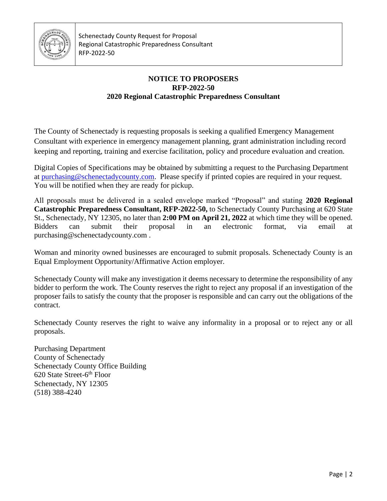

# **NOTICE TO PROPOSERS RFP-2022-50 2020 Regional Catastrophic Preparedness Consultant**

The County of Schenectady is requesting proposals is seeking a qualified Emergency Management Consultant with experience in emergency management planning, grant administration including record keeping and reporting, training and exercise facilitation, policy and procedure evaluation and creation.

Digital Copies of Specifications may be obtained by submitting a request to the Purchasing Department at [purchasing@schenectadycounty.com.](mailto:purchasing@schenectadycounty.com) Please specify if printed copies are required in your request. You will be notified when they are ready for pickup.

All proposals must be delivered in a sealed envelope marked "Proposal" and stating **2020 Regional Catastrophic Preparedness Consultant, RFP-2022-50,** to Schenectady County Purchasing at 620 State St., Schenectady, NY 12305, no later than **2:00 PM on April 21, 2022** at which time they will be opened. Bidders can submit their proposal in an electronic format, via email at purchasing@schenectadycounty.com .

Woman and minority owned businesses are encouraged to submit proposals. Schenectady County is an Equal Employment Opportunity/Affirmative Action employer.

Schenectady County will make any investigation it deems necessary to determine the responsibility of any bidder to perform the work. The County reserves the right to reject any proposal if an investigation of the proposer fails to satisfy the county that the proposer is responsible and can carry out the obligations of the contract.

Schenectady County reserves the right to waive any informality in a proposal or to reject any or all proposals.

Purchasing Department County of Schenectady Schenectady County Office Building 620 State Street-6<sup>th</sup> Floor Schenectady, NY 12305 (518) 388-4240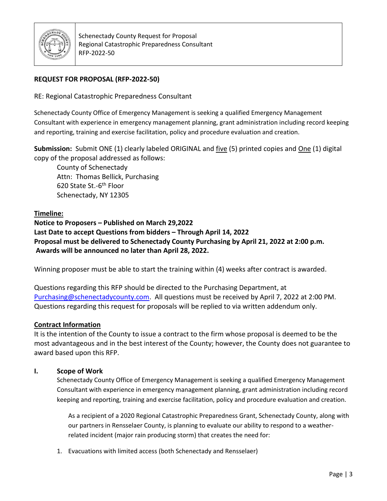

# **REQUEST FOR PROPOSAL (RFP-2022-50)**

RE: Regional Catastrophic Preparedness Consultant

Schenectady County Office of Emergency Management is seeking a qualified Emergency Management Consultant with experience in emergency management planning, grant administration including record keeping and reporting, training and exercise facilitation, policy and procedure evaluation and creation.

**Submission:** Submit ONE (1) clearly labeled ORIGINAL and five (5) printed copies and One (1) digital copy of the proposal addressed as follows:

County of Schenectady Attn: Thomas Bellick, Purchasing 620 State St.-6<sup>th</sup> Floor Schenectady, NY 12305

# **Timeline:**

**Notice to Proposers – Published on March 29,2022 Last Date to accept Questions from bidders – Through April 14, 2022 Proposal must be delivered to Schenectady County Purchasing by April 21, 2022 at 2:00 p.m. Awards will be announced no later than April 28, 2022.** 

Winning proposer must be able to start the training within (4) weeks after contract is awarded.

Questions regarding this RFP should be directed to the Purchasing Department, at [Purchasing@schenectadycounty.com.](mailto:Purchasing@schenectadycounty.com) All questions must be received by April 7, 2022 at 2:00 PM. Questions regarding this request for proposals will be replied to via written addendum only.

#### **Contract Information**

It is the intention of the County to issue a contract to the firm whose proposal is deemed to be the most advantageous and in the best interest of the County; however, the County does not guarantee to award based upon this RFP.

#### **I. Scope of Work**

Schenectady County Office of Emergency Management is seeking a qualified Emergency Management Consultant with experience in emergency management planning, grant administration including record keeping and reporting, training and exercise facilitation, policy and procedure evaluation and creation.

As a recipient of a 2020 Regional Catastrophic Preparedness Grant, Schenectady County, along with our partners in Rensselaer County, is planning to evaluate our ability to respond to a weatherrelated incident (major rain producing storm) that creates the need for:

1. Evacuations with limited access (both Schenectady and Rensselaer)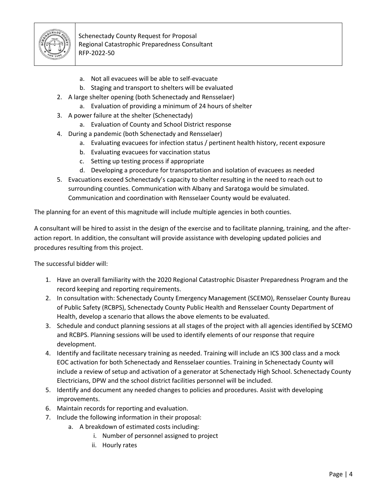

- a. Not all evacuees will be able to self-evacuate
- b. Staging and transport to shelters will be evaluated
- 2. A large shelter opening (both Schenectady and Rensselaer)
	- a. Evaluation of providing a minimum of 24 hours of shelter
- 3. A power failure at the shelter (Schenectady)
	- a. Evaluation of County and School District response
- 4. During a pandemic (both Schenectady and Rensselaer)
	- a. Evaluating evacuees for infection status / pertinent health history, recent exposure
	- b. Evaluating evacuees for vaccination status
	- c. Setting up testing process if appropriate
	- d. Developing a procedure for transportation and isolation of evacuees as needed
- 5. Evacuations exceed Schenectady's capacity to shelter resulting in the need to reach out to surrounding counties. Communication with Albany and Saratoga would be simulated. Communication and coordination with Rensselaer County would be evaluated.

The planning for an event of this magnitude will include multiple agencies in both counties.

A consultant will be hired to assist in the design of the exercise and to facilitate planning, training, and the afteraction report. In addition, the consultant will provide assistance with developing updated policies and procedures resulting from this project.

The successful bidder will:

- 1. Have an overall familiarity with the 2020 Regional Catastrophic Disaster Preparedness Program and the record keeping and reporting requirements.
- 2. In consultation with: Schenectady County Emergency Management (SCEMO), Rensselaer County Bureau of Public Safety (RCBPS), Schenectady County Public Health and Rensselaer County Department of Health, develop a scenario that allows the above elements to be evaluated.
- 3. Schedule and conduct planning sessions at all stages of the project with all agencies identified by SCEMO and RCBPS. Planning sessions will be used to identify elements of our response that require development.
- 4. Identify and facilitate necessary training as needed. Training will include an ICS 300 class and a mock EOC activation for both Schenectady and Rensselaer counties. Training in Schenectady County will include a review of setup and activation of a generator at Schenectady High School. Schenectady County Electricians, DPW and the school district facilities personnel will be included.
- 5. Identify and document any needed changes to policies and procedures. Assist with developing improvements.
- 6. Maintain records for reporting and evaluation.
- 7. Include the following information in their proposal:
	- a. A breakdown of estimated costs including:
		- i. Number of personnel assigned to project
		- ii. Hourly rates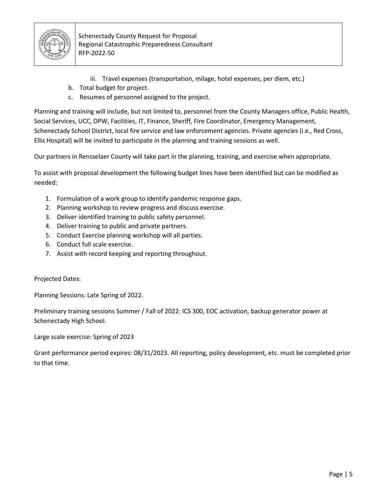

- iii. Travel expenses (transportation, milage, hotel expenses, per diem, etc.)
- b. Total budget for project.
- c. Resumes of personnel assigned to the project.

Planning and training will include, but not limited to, personnel from the County Managers office, Public Health, Social Services, UCC, DPW, Facilities, IT, Finance, Sheriff, Fire Coordinator, Emergency Management, Schenectady School District, local fire service and law enforcement agencies. Private agencies (i.e., Red Cross, Ellis Hospital) will be invited to participate in the planning and training sessions as well.

Our partners in Rensselaer County will take part in the planning, training, and exercise when appropriate.

To assist with proposal development the following budget lines have been identified but can be modified as needed:

- 1. Formulation of a work group to identify pandemic response gaps.
- 2. Planning workshop to review progress and discuss exercise.
- 3. Deliver identified training to public safety personnel.
- 4. Deliver training to public and private partners.
- 5. Conduct Exercise planning workshop will all parties.
- 6. Conduct full scale exercise.
- 7. Assist with record keeping and reporting throughout.

#### Projected Dates:

Planning Sessions: Late Spring of 2022.

Preliminary training sessions Summer / Fall of 2022: ICS 300, EOC activation, backup generator power at Schenectady High School.

Large scale exercise: Spring of 2023

Grant performance period expires: 08/31/2023. All reporting, policy development, etc. must be completed prior to that time.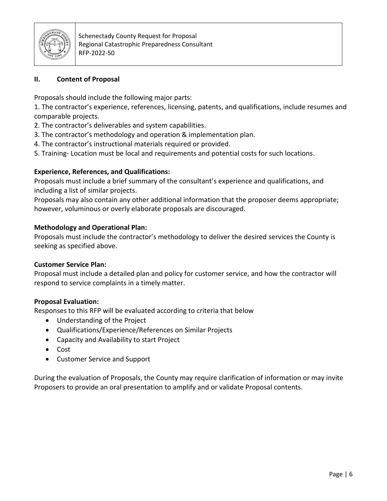

#### **II. Content of Proposal**

Proposals should include the following major parts:

1. The contractor's experience, references, licensing, patents, and qualifications, include resumes and comparable projects.

- 2. The contractor's deliverables and system capabilities.
- 3. The contractor's methodology and operation & implementation plan.
- 4. The contractor's instructional materials required or provided.
- 5. Training- Location must be local and requirements and potential costs for such locations.

#### **Experience, References, and Qualifications:**

Proposals must include a brief summary of the consultant's experience and qualifications, and including a list of similar projects.

Proposals may also contain any other additional information that the proposer deems appropriate; however, voluminous or overly elaborate proposals are discouraged.

#### **Methodology and Operational Plan:**

Proposals must include the contractor's methodology to deliver the desired services the County is seeking as specified above.

#### **Customer Service Plan:**

Proposal must include a detailed plan and policy for customer service, and how the contractor will respond to service complaints in a timely matter.

#### **Proposal Evaluation:**

Responses to this RFP will be evaluated according to criteria that below

- Understanding of the Project
- Qualifications/Experience/References on Similar Projects
- Capacity and Availability to start Project
- Cost
- Customer Service and Support

During the evaluation of Proposals, the County may require clarification of information or may invite Proposers to provide an oral presentation to amplify and or validate Proposal contents.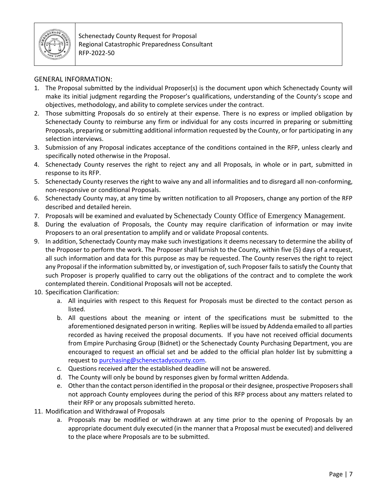

#### GENERAL INFORMATION:

- 1. The Proposal submitted by the individual Proposer(s) is the document upon which Schenectady County will make its initial judgment regarding the Proposer's qualifications, understanding of the County's scope and objectives, methodology, and ability to complete services under the contract.
- 2. Those submitting Proposals do so entirely at their expense. There is no express or implied obligation by Schenectady County to reimburse any firm or individual for any costs incurred in preparing or submitting Proposals, preparing or submitting additional information requested by the County, or for participating in any selection interviews.
- 3. Submission of any Proposal indicates acceptance of the conditions contained in the RFP, unless clearly and specifically noted otherwise in the Proposal.
- 4. Schenectady County reserves the right to reject any and all Proposals, in whole or in part, submitted in response to its RFP.
- 5. Schenectady County reserves the right to waive any and all informalities and to disregard all non-conforming, non-responsive or conditional Proposals.
- 6. Schenectady County may, at any time by written notification to all Proposers, change any portion of the RFP described and detailed herein.
- 7. Proposals will be examined and evaluated by Schenectady County Office of Emergency Management.
- 8. During the evaluation of Proposals, the County may require clarification of information or may invite Proposers to an oral presentation to amplify and or validate Proposal contents.
- 9. In addition, Schenectady County may make such investigations it deems necessary to determine the ability of the Proposer to perform the work. The Proposer shall furnish to the County, within five (5) days of a request, all such information and data for this purpose as may be requested. The County reserves the right to reject any Proposal if the information submitted by, or investigation of, such Proposer fails to satisfy the County that such Proposer is properly qualified to carry out the obligations of the contract and to complete the work contemplated therein. Conditional Proposals will not be accepted.
- 10. Specification Clarification:
	- a. All inquiries with respect to this Request for Proposals must be directed to the contact person as listed.
	- b. All questions about the meaning or intent of the specifications must be submitted to the aforementioned designated person in writing. Replies will be issued by Addenda emailed to all parties recorded as having received the proposal documents. If you have not received official documents from Empire Purchasing Group (Bidnet) or the Schenectady County Purchasing Department, you are encouraged to request an official set and be added to the official plan holder list by submitting a request to [purchasing@schenectadycounty.com.](mailto:purchasing@schenectadycounty.com)
	- c. Questions received after the established deadline will not be answered.
	- d. The County will only be bound by responses given by formal written Addenda.
	- e. Other than the contact person identified in the proposal or their designee, prospective Proposers shall not approach County employees during the period of this RFP process about any matters related to their RFP or any proposals submitted hereto.
- 11. Modification and Withdrawal of Proposals
	- a. Proposals may be modified or withdrawn at any time prior to the opening of Proposals by an appropriate document duly executed (in the manner that a Proposal must be executed) and delivered to the place where Proposals are to be submitted.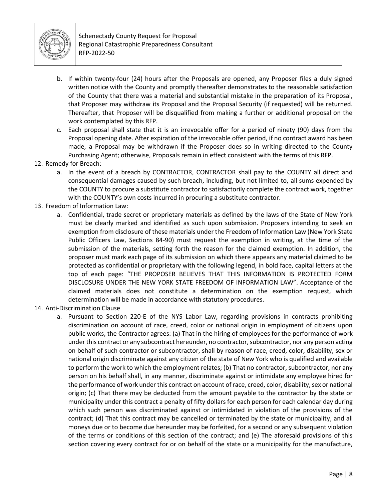

- b. If within twenty-four (24) hours after the Proposals are opened, any Proposer files a duly signed written notice with the County and promptly thereafter demonstrates to the reasonable satisfaction of the County that there was a material and substantial mistake in the preparation of its Proposal, that Proposer may withdraw its Proposal and the Proposal Security (if requested) will be returned. Thereafter, that Proposer will be disqualified from making a further or additional proposal on the work contemplated by this RFP.
- c. Each proposal shall state that it is an irrevocable offer for a period of ninety (90) days from the Proposal opening date. After expiration of the irrevocable offer period, if no contract award has been made, a Proposal may be withdrawn if the Proposer does so in writing directed to the County Purchasing Agent; otherwise, Proposals remain in effect consistent with the terms of this RFP.
- 12. Remedy for Breach:
	- a. In the event of a breach by CONTRACTOR, CONTRACTOR shall pay to the COUNTY all direct and consequential damages caused by such breach, including, but not limited to, all sums expended by the COUNTY to procure a substitute contractor to satisfactorily complete the contract work, together with the COUNTY's own costs incurred in procuring a substitute contractor.
- 13. Freedom of Information Law:
	- a. Confidential, trade secret or proprietary materials as defined by the laws of the State of New York must be clearly marked and identified as such upon submission. Proposers intending to seek an exemption from disclosure of these materials under the Freedom of Information Law (New York State Public Officers Law, Sections 84-90) must request the exemption in writing, at the time of the submission of the materials, setting forth the reason for the claimed exemption. In addition, the proposer must mark each page of its submission on which there appears any material claimed to be protected as confidential or proprietary with the following legend, in bold face, capital letters at the top of each page: "THE PROPOSER BELIEVES THAT THIS INFORMATION IS PROTECTED FORM DISCLOSURE UNDER THE NEW YORK STATE FREEDOM OF INFORMATION LAW". Acceptance of the claimed materials does not constitute a determination on the exemption request, which determination will be made in accordance with statutory procedures.
- 14. Anti-Discrimination Clause
	- a. Pursuant to Section 220-E of the NYS Labor Law, regarding provisions in contracts prohibiting discrimination on account of race, creed, color or national origin in employment of citizens upon public works, the Contractor agrees: (a) That in the hiring of employees for the performance of work under this contract or any subcontract hereunder, no contractor, subcontractor, nor any person acting on behalf of such contractor or subcontractor, shall by reason of race, creed, color, disability, sex or national origin discriminate against any citizen of the state of New York who is qualified and available to perform the work to which the employment relates; (b) That no contractor, subcontractor, nor any person on his behalf shall, in any manner, discriminate against or intimidate any employee hired for the performance of work under this contract on account of race, creed, color, disability, sex or national origin; (c) That there may be deducted from the amount payable to the contractor by the state or municipality under this contract a penalty of fifty dollars for each person for each calendar day during which such person was discriminated against or intimidated in violation of the provisions of the contract; (d) That this contract may be cancelled or terminated by the state or municipality, and all moneys due or to become due hereunder may be forfeited, for a second or any subsequent violation of the terms or conditions of this section of the contract; and (e) The aforesaid provisions of this section covering every contract for or on behalf of the state or a municipality for the manufacture,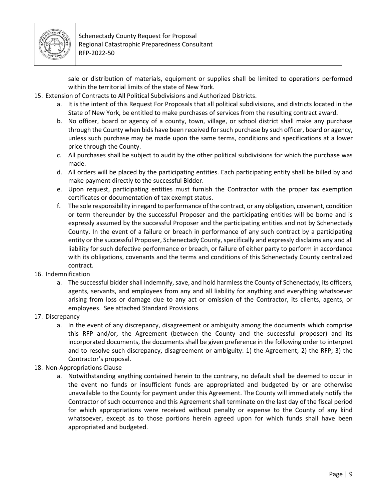

sale or distribution of materials, equipment or supplies shall be limited to operations performed within the territorial limits of the state of New York.

- 15. Extension of Contracts to All Political Subdivisions and Authorized Districts.
	- a. It is the intent of this Request For Proposals that all political subdivisions, and districts located in the State of New York, be entitled to make purchases of services from the resulting contract award.
	- b. No officer, board or agency of a county, town, village, or school district shall make any purchase through the County when bids have been received for such purchase by such officer, board or agency, unless such purchase may be made upon the same terms, conditions and specifications at a lower price through the County.
	- c. All purchases shall be subject to audit by the other political subdivisions for which the purchase was made.
	- d. All orders will be placed by the participating entities. Each participating entity shall be billed by and make payment directly to the successful Bidder.
	- e. Upon request, participating entities must furnish the Contractor with the proper tax exemption certificates or documentation of tax exempt status.
	- f. The sole responsibility in regard to performance of the contract, or any obligation, covenant, condition or term thereunder by the successful Proposer and the participating entities will be borne and is expressly assumed by the successful Proposer and the participating entities and not by Schenectady County. In the event of a failure or breach in performance of any such contract by a participating entity or the successful Proposer, Schenectady County, specifically and expressly disclaims any and all liability for such defective performance or breach, or failure of either party to perform in accordance with its obligations, covenants and the terms and conditions of this Schenectady County centralized contract.
- 16. Indemnification
	- a. The successful bidder shall indemnify, save, and hold harmless the County of Schenectady, its officers, agents, servants, and employees from any and all liability for anything and everything whatsoever arising from loss or damage due to any act or omission of the Contractor, its clients, agents, or employees. See attached Standard Provisions.
- 17. Discrepancy
	- a. In the event of any discrepancy, disagreement or ambiguity among the documents which comprise this RFP and/or, the Agreement (between the County and the successful proposer) and its incorporated documents, the documents shall be given preference in the following order to interpret and to resolve such discrepancy, disagreement or ambiguity: 1) the Agreement; 2) the RFP; 3) the Contractor's proposal.
- 18. Non-Appropriations Clause
	- a. Notwithstanding anything contained herein to the contrary, no default shall be deemed to occur in the event no funds or insufficient funds are appropriated and budgeted by or are otherwise unavailable to the County for payment under this Agreement. The County will immediately notify the Contractor of such occurrence and this Agreement shall terminate on the last day of the fiscal period for which appropriations were received without penalty or expense to the County of any kind whatsoever, except as to those portions herein agreed upon for which funds shall have been appropriated and budgeted.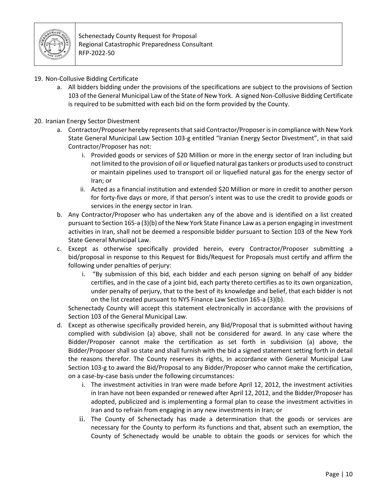

#### 19. Non-Collusive Bidding Certificate

- a. All bidders bidding under the provisions of the specifications are subject to the provisions of Section 103 of the General Municipal Law of the State of New York. A signed Non-Collusive Bidding Certificate is required to be submitted with each bid on the form provided by the County.
- 20. Iranian Energy Sector Divestment
	- a. Contractor/Proposer hereby represents that said Contractor/Proposer is in compliance with New York State General Municipal Law Section 103-g entitled "Iranian Energy Sector Divestment", in that said Contractor/Proposer has not:
		- i. Provided goods or services of \$20 Million or more in the energy sector of Iran including but not limited to the provision of oil or liquefied natural gas tankers or products used to construct or maintain pipelines used to transport oil or liquefied natural gas for the energy sector of Iran; or
		- ii. Acted as a financial institution and extended \$20 Million or more in credit to another person for forty-five days or more, if that person's intent was to use the credit to provide goods or services in the energy sector in Iran.
	- b. Any Contractor/Proposer who has undertaken any of the above and is identified on a list created pursuant to Section 165-a (3)(b) of the New York State Finance Law as a person engaging in investment activities in Iran, shall not be deemed a responsible bidder pursuant to Section 103 of the New York State General Municipal Law.
	- c. Except as otherwise specifically provided herein, every Contractor/Proposer submitting a bid/proposal in response to this Request for Bids/Request for Proposals must certify and affirm the following under penalties of perjury:
		- i. "By submission of this bid, each bidder and each person signing on behalf of any bidder certifies, and in the case of a joint bid, each party thereto certifies as to its own organization, under penalty of perjury, that to the best of its knowledge and belief, that each bidder is not on the list created pursuant to NYS Finance Law Section 165-a (3)(b).

Schenectady County will accept this statement electronically in accordance with the provisions of Section 103 of the General Municipal Law.

- d. Except as otherwise specifically provided herein, any Bid/Proposal that is submitted without having complied with subdivision (a) above, shall not be considered for award. In any case where the Bidder/Proposer cannot make the certification as set forth in subdivision (a) above, the Bidder/Proposer shall so state and shall furnish with the bid a signed statement setting forth in detail the reasons therefor. The County reserves its rights, in accordance with General Municipal Law Section 103-g to award the Bid/Proposal to any Bidder/Proposer who cannot make the certification, on a case-by-case basis under the following circumstances:
	- i. The investment activities in Iran were made before April 12, 2012, the investment activities in Iran have not been expanded or renewed after April 12, 2012, and the Bidder/Proposer has adopted, publicized and is implementing a formal plan to cease the investment activities in Iran and to refrain from engaging in any new investments in Iran; or
	- ii. The County of Schenectady has made a determination that the goods or services are necessary for the County to perform its functions and that, absent such an exemption, the County of Schenectady would be unable to obtain the goods or services for which the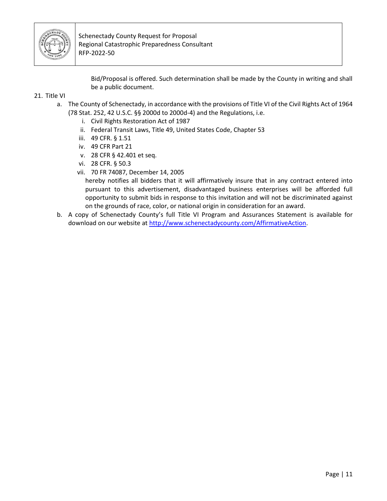

Bid/Proposal is offered. Such determination shall be made by the County in writing and shall be a public document.

#### 21. Title VI

- a. The County of Schenectady, in accordance with the provisions of Title VI of the Civil Rights Act of 1964 (78 Stat. 252, 42 U.S.C. §§ 2000d to 2000d-4) and the Regulations, i.e.
	- i. Civil Rights Restoration Act of 1987
	- ii. Federal Transit Laws, Title 49, United States Code, Chapter 53
	- iii. 49 CFR. § 1.51
	- iv. 49 CFR Part 21
	- v. 28 CFR § 42.401 et seq.
	- vi. 28 CFR. § 50.3
	- vii. 70 FR 74087, December 14, 2005

hereby notifies all bidders that it will affirmatively insure that in any contract entered into pursuant to this advertisement, disadvantaged business enterprises will be afforded full opportunity to submit bids in response to this invitation and will not be discriminated against on the grounds of race, color, or national origin in consideration for an award.

b. A copy of Schenectady County's full Title VI Program and Assurances Statement is available for download on our website at [http://www.schenectadycounty.com/AffirmativeAction.](http://www.schenectadycounty.com/AffirmativeAction)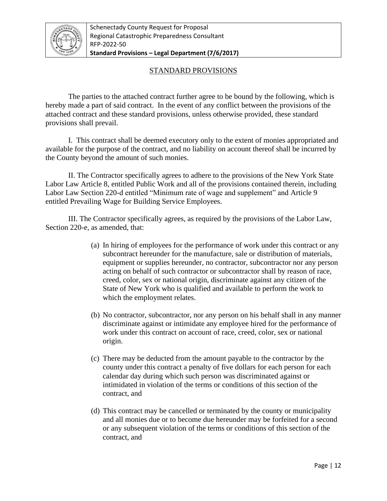

#### STANDARD PROVISIONS

The parties to the attached contract further agree to be bound by the following, which is hereby made a part of said contract. In the event of any conflict between the provisions of the attached contract and these standard provisions, unless otherwise provided, these standard provisions shall prevail.

I. This contract shall be deemed executory only to the extent of monies appropriated and available for the purpose of the contract, and no liability on account thereof shall be incurred by the County beyond the amount of such monies.

II. The Contractor specifically agrees to adhere to the provisions of the New York State Labor Law Article 8, entitled Public Work and all of the provisions contained therein, including Labor Law Section 220-d entitled "Minimum rate of wage and supplement" and Article 9 entitled Prevailing Wage for Building Service Employees.

III. The Contractor specifically agrees, as required by the provisions of the Labor Law, Section 220-e, as amended, that:

- (a) In hiring of employees for the performance of work under this contract or any subcontract hereunder for the manufacture, sale or distribution of materials, equipment or supplies hereunder, no contractor, subcontractor nor any person acting on behalf of such contractor or subcontractor shall by reason of race, creed, color, sex or national origin, discriminate against any citizen of the State of New York who is qualified and available to perform the work to which the employment relates.
- (b) No contractor, subcontractor, nor any person on his behalf shall in any manner discriminate against or intimidate any employee hired for the performance of work under this contract on account of race, creed, color, sex or national origin.
- (c) There may be deducted from the amount payable to the contractor by the county under this contract a penalty of five dollars for each person for each calendar day during which such person was discriminated against or intimidated in violation of the terms or conditions of this section of the contract, and
- (d) This contract may be cancelled or terminated by the county or municipality and all monies due or to become due hereunder may be forfeited for a second or any subsequent violation of the terms or conditions of this section of the contract, and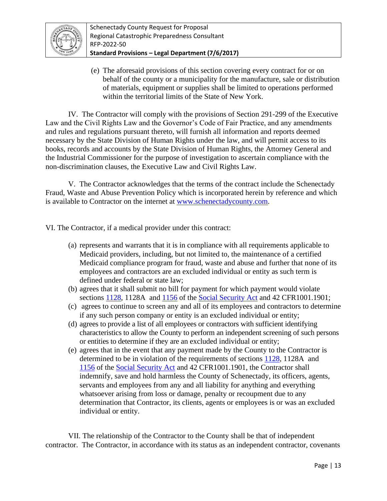

(e) The aforesaid provisions of this section covering every contract for or on behalf of the county or a municipality for the manufacture, sale or distribution of materials, equipment or supplies shall be limited to operations performed within the territorial limits of the State of New York.

IV. The Contractor will comply with the provisions of Section 291-299 of the Executive Law and the Civil Rights Law and the Governor's Code of Fair Practice, and any amendments and rules and regulations pursuant thereto, will furnish all information and reports deemed necessary by the State Division of Human Rights under the law, and will permit access to its books, records and accounts by the State Division of Human Rights, the Attorney General and the Industrial Commissioner for the purpose of investigation to ascertain compliance with the non-discrimination clauses, the Executive Law and Civil Rights Law.

V. The Contractor acknowledges that the terms of the contract include the Schenectady Fraud, Waste and Abuse Prevention Policy which is incorporated herein by reference and which is available to Contractor on the internet at [www.schenectadycounty.com.](http://www.schenectadycounty.com/)

VI. The Contractor, if a medical provider under this contract:

- (a) represents and warrants that it is in compliance with all requirements applicable to Medicaid providers, including, but not limited to, the maintenance of a certified Medicaid compliance program for fraud, waste and abuse and further that none of its employees and contractors are an excluded individual or entity as such term is defined under federal or state law;
- (b) agrees that it shall submit no bill for payment for which payment would violate sections [1128,](http://www.ssa.gov/OP_Home/ssact/title11/1128.htm) 1128A and [1156](http://www.ssa.gov/OP_Home/ssact/title11/1156.htm) of the [Social Security Act](http://www.ssa.gov/OP_Home/ssact/) and 42 CFR1001.1901;
- (c) agrees to continue to screen any and all of its employees and contractors to determine if any such person company or entity is an excluded individual or entity;
- (d) agrees to provide a list of all employees or contractors with sufficient identifying characteristics to allow the County to perform an independent screening of such persons or entities to determine if they are an excluded individual or entity;
- (e) agrees that in the event that any payment made by the County to the Contractor is determined to be in violation of the requirements of sections [1128,](http://www.ssa.gov/OP_Home/ssact/title11/1128.htm) 1128A and [1156](http://www.ssa.gov/OP_Home/ssact/title11/1156.htm) of the [Social Security Act](http://www.ssa.gov/OP_Home/ssact/) and 42 CFR1001.1901, the Contractor shall indemnify, save and hold harmless the County of Schenectady, its officers, agents, servants and employees from any and all liability for anything and everything whatsoever arising from loss or damage, penalty or recoupment due to any determination that Contractor, its clients, agents or employees is or was an excluded individual or entity.

VII. The relationship of the Contractor to the County shall be that of independent contractor. The Contractor, in accordance with its status as an independent contractor, covenants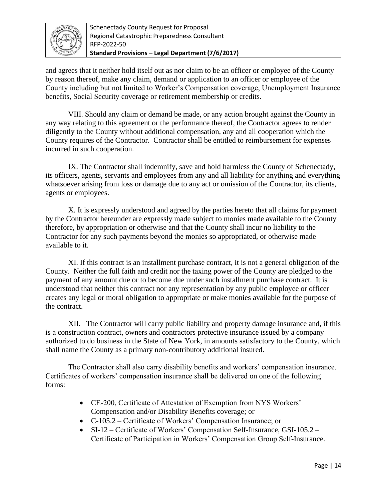

and agrees that it neither hold itself out as nor claim to be an officer or employee of the County by reason thereof, make any claim, demand or application to an officer or employee of the County including but not limited to Worker's Compensation coverage, Unemployment Insurance benefits, Social Security coverage or retirement membership or credits.

VIII. Should any claim or demand be made, or any action brought against the County in any way relating to this agreement or the performance thereof, the Contractor agrees to render diligently to the County without additional compensation, any and all cooperation which the County requires of the Contractor. Contractor shall be entitled to reimbursement for expenses incurred in such cooperation.

IX. The Contractor shall indemnify, save and hold harmless the County of Schenectady, its officers, agents, servants and employees from any and all liability for anything and everything whatsoever arising from loss or damage due to any act or omission of the Contractor, its clients, agents or employees.

X. It is expressly understood and agreed by the parties hereto that all claims for payment by the Contractor hereunder are expressly made subject to monies made available to the County therefore, by appropriation or otherwise and that the County shall incur no liability to the Contractor for any such payments beyond the monies so appropriated, or otherwise made available to it.

XI. If this contract is an installment purchase contract, it is not a general obligation of the County. Neither the full faith and credit nor the taxing power of the County are pledged to the payment of any amount due or to become due under such installment purchase contract. It is understood that neither this contract nor any representation by any public employee or officer creates any legal or moral obligation to appropriate or make monies available for the purpose of the contract.

XII. The Contractor will carry public liability and property damage insurance and, if this is a construction contract, owners and contractors protective insurance issued by a company authorized to do business in the State of New York, in amounts satisfactory to the County, which shall name the County as a primary non-contributory additional insured.

The Contractor shall also carry disability benefits and workers' compensation insurance. Certificates of workers' compensation insurance shall be delivered on one of the following forms:

- CE-200, Certificate of Attestation of Exemption from NYS Workers' Compensation and/or Disability Benefits coverage; or
- C-105.2 Certificate of Workers' Compensation Insurance; or
- SI-12 Certificate of Workers' Compensation Self-Insurance, GSI-105.2 Certificate of Participation in Workers' Compensation Group Self-Insurance.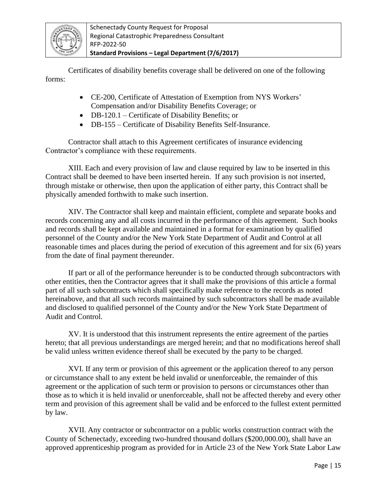

Schenectady County Request for Proposal Regional Catastrophic Preparedness Consultant RFP-2022-50 **Standard Provisions – Legal Department (7/6/2017)**

Certificates of disability benefits coverage shall be delivered on one of the following forms:

- CE-200, Certificate of Attestation of Exemption from NYS Workers' Compensation and/or Disability Benefits Coverage; or
- DB-120.1 Certificate of Disability Benefits; or
- DB-155 Certificate of Disability Benefits Self-Insurance.

Contractor shall attach to this Agreement certificates of insurance evidencing Contractor's compliance with these requirements.

XIII. Each and every provision of law and clause required by law to be inserted in this Contract shall be deemed to have been inserted herein. If any such provision is not inserted, through mistake or otherwise, then upon the application of either party, this Contract shall be physically amended forthwith to make such insertion.

XIV. The Contractor shall keep and maintain efficient, complete and separate books and records concerning any and all costs incurred in the performance of this agreement. Such books and records shall be kept available and maintained in a format for examination by qualified personnel of the County and/or the New York State Department of Audit and Control at all reasonable times and places during the period of execution of this agreement and for six (6) years from the date of final payment thereunder.

If part or all of the performance hereunder is to be conducted through subcontractors with other entities, then the Contractor agrees that it shall make the provisions of this article a formal part of all such subcontracts which shall specifically make reference to the records as noted hereinabove, and that all such records maintained by such subcontractors shall be made available and disclosed to qualified personnel of the County and/or the New York State Department of Audit and Control.

XV. It is understood that this instrument represents the entire agreement of the parties hereto; that all previous understandings are merged herein; and that no modifications hereof shall be valid unless written evidence thereof shall be executed by the party to be charged.

XVI. If any term or provision of this agreement or the application thereof to any person or circumstance shall to any extent be held invalid or unenforceable, the remainder of this agreement or the application of such term or provision to persons or circumstances other than those as to which it is held invalid or unenforceable, shall not be affected thereby and every other term and provision of this agreement shall be valid and be enforced to the fullest extent permitted by law.

XVII. Any contractor or subcontractor on a public works construction contract with the County of Schenectady, exceeding two-hundred thousand dollars (\$200,000.00), shall have an approved apprenticeship program as provided for in Article 23 of the New York State Labor Law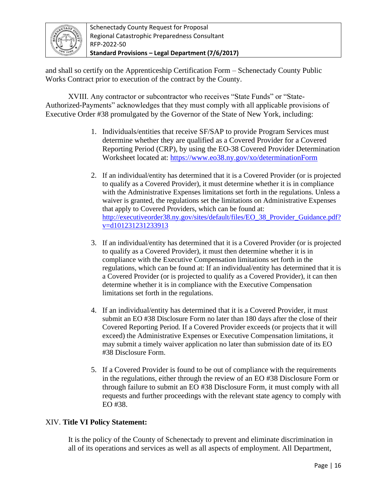

Schenectady County Request for Proposal Regional Catastrophic Preparedness Consultant RFP-2022-50 **Standard Provisions – Legal Department (7/6/2017)**

and shall so certify on the Apprenticeship Certification Form – Schenectady County Public Works Contract prior to execution of the contract by the County.

XVIII. Any contractor or subcontractor who receives "State Funds" or "State-Authorized-Payments" acknowledges that they must comply with all applicable provisions of Executive Order #38 promulgated by the Governor of the State of New York, including:

- 1. Individuals/entities that receive SF/SAP to provide Program Services must determine whether they are qualified as a Covered Provider for a Covered Reporting Period (CRP), by using the EO-38 Covered Provider Determination Worksheet located at:<https://www.eo38.ny.gov/xo/determinationForm>
- 2. If an individual/entity has determined that it is a Covered Provider (or is projected to qualify as a Covered Provider), it must determine whether it is in compliance with the Administrative Expenses limitations set forth in the regulations. Unless a waiver is granted, the regulations set the limitations on Administrative Expenses that apply to Covered Providers, which can be found at: [http://executiveorder38.ny.gov/sites/default/files/EO\\_38\\_Provider\\_Guidance.pdf?](http://executiveorder38.ny.gov/sites/default/files/EO_38_Provider_Guidance.pdf?v=d101231231233913) [v=d101231231233913](http://executiveorder38.ny.gov/sites/default/files/EO_38_Provider_Guidance.pdf?v=d101231231233913)
- 3. If an individual/entity has determined that it is a Covered Provider (or is projected to qualify as a Covered Provider), it must then determine whether it is in compliance with the Executive Compensation limitations set forth in the regulations, which can be found at: If an individual/entity has determined that it is a Covered Provider (or is projected to qualify as a Covered Provider), it can then determine whether it is in compliance with the Executive Compensation limitations set forth in the regulations.
- 4. If an individual/entity has determined that it is a Covered Provider, it must submit an EO #38 Disclosure Form no later than 180 days after the close of their Covered Reporting Period. If a Covered Provider exceeds (or projects that it will exceed) the Administrative Expenses or Executive Compensation limitations, it may submit a timely waiver application no later than submission date of its EO #38 Disclosure Form.
- 5. If a Covered Provider is found to be out of compliance with the requirements in the regulations, either through the review of an EO #38 Disclosure Form or through failure to submit an EO #38 Disclosure Form, it must comply with all requests and further proceedings with the relevant state agency to comply with EO #38.

#### XIV. **Title VI Policy Statement:**

It is the policy of the County of Schenectady to prevent and eliminate discrimination in all of its operations and services as well as all aspects of employment. All Department,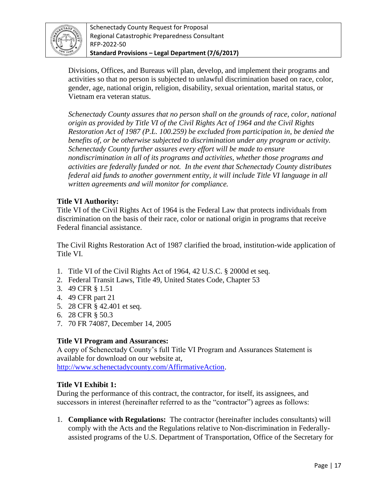

Schenectady County Request for Proposal Regional Catastrophic Preparedness Consultant RFP-2022-50 **Standard Provisions – Legal Department (7/6/2017)**

Divisions, Offices, and Bureaus will plan, develop, and implement their programs and activities so that no person is subjected to unlawful discrimination based on race, color, gender, age, national origin, religion, disability, sexual orientation, marital status, or Vietnam era veteran status.

*Schenectady County assures that no person shall on the grounds of race, color, national origin as provided by Title VI of the Civil Rights Act of 1964 and the Civil Rights Restoration Act of 1987 (P.L. 100.259) be excluded from participation in, be denied the benefits of, or be otherwise subjected to discrimination under any program or activity. Schenectady County further assures every effort will be made to ensure nondiscrimination in all of its programs and activities, whether those programs and activities are federally funded or not. In the event that Schenectady County distributes federal aid funds to another government entity, it will include Title VI language in all written agreements and will monitor for compliance.*

# **Title VI Authority:**

Title VI of the Civil Rights Act of 1964 is the Federal Law that protects individuals from discrimination on the basis of their race, color or national origin in programs that receive Federal financial assistance.

The Civil Rights Restoration Act of 1987 clarified the broad, institution-wide application of Title VI.

- 1. Title VI of the Civil Rights Act of 1964, 42 U.S.C. § 2000d et seq.
- 2. Federal Transit Laws, Title 49, United States Code, Chapter 53
- 3. 49 CFR § 1.51
- 4. 49 CFR part 21
- 5. 28 CFR § 42.401 et seq.
- 6. 28 CFR § 50.3
- 7. 70 FR 74087, December 14, 2005

# **Title VI Program and Assurances:**

A copy of Schenectady County's full Title VI Program and Assurances Statement is available for download on our website at, [http://www.schenectadycounty.com/AffirmativeAction.](http://www.schenectadycounty.com/AffirmativeAction)

# **Title VI Exhibit 1:**

During the performance of this contract, the contractor, for itself, its assignees, and successors in interest (hereinafter referred to as the "contractor") agrees as follows:

1. **Compliance with Regulations:** The contractor (hereinafter includes consultants) will comply with the Acts and the Regulations relative to Non-discrimination in Federallyassisted programs of the U.S. Department of Transportation, Office of the Secretary for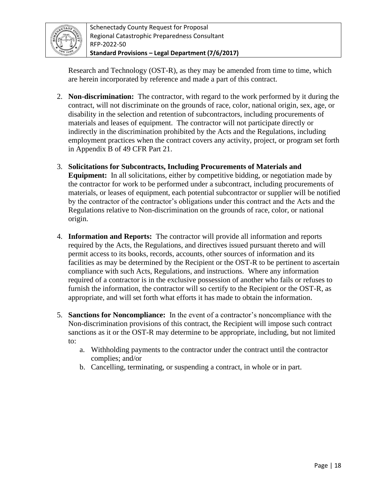

Research and Technology (OST-R), as they may be amended from time to time, which are herein incorporated by reference and made a part of this contract.

- 2. **Non-discrimination:** The contractor, with regard to the work performed by it during the contract, will not discriminate on the grounds of race, color, national origin, sex, age, or disability in the selection and retention of subcontractors, including procurements of materials and leases of equipment. The contractor will not participate directly or indirectly in the discrimination prohibited by the Acts and the Regulations, including employment practices when the contract covers any activity, project, or program set forth in Appendix B of 49 CFR Part 21.
- 3. **Solicitations for Subcontracts, Including Procurements of Materials and Equipment:** In all solicitations, either by competitive bidding, or negotiation made by the contractor for work to be performed under a subcontract, including procurements of materials, or leases of equipment, each potential subcontractor or supplier will be notified by the contractor of the contractor's obligations under this contract and the Acts and the Regulations relative to Non-discrimination on the grounds of race, color, or national origin.
- 4. **Information and Reports:** The contractor will provide all information and reports required by the Acts, the Regulations, and directives issued pursuant thereto and will permit access to its books, records, accounts, other sources of information and its facilities as may be determined by the Recipient or the OST-R to be pertinent to ascertain compliance with such Acts, Regulations, and instructions. Where any information required of a contractor is in the exclusive possession of another who fails or refuses to furnish the information, the contractor will so certify to the Recipient or the OST-R, as appropriate, and will set forth what efforts it has made to obtain the information.
- 5. **Sanctions for Noncompliance:** In the event of a contractor's noncompliance with the Non-discrimination provisions of this contract, the Recipient will impose such contract sanctions as it or the OST-R may determine to be appropriate, including, but not limited to:
	- a. Withholding payments to the contractor under the contract until the contractor complies; and/or
	- b. Cancelling, terminating, or suspending a contract, in whole or in part.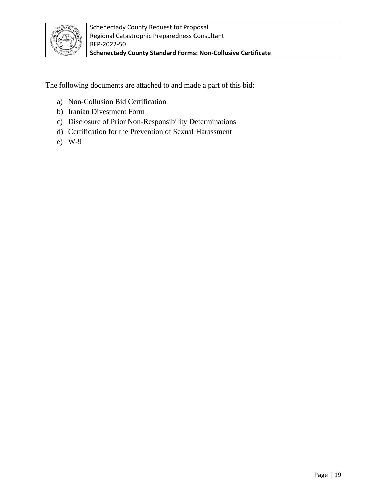

The following documents are attached to and made a part of this bid:

- a) Non-Collusion Bid Certification
- b) Iranian Divestment Form
- c) Disclosure of Prior Non-Responsibility Determinations
- d) Certification for the Prevention of Sexual Harassment
- e) W-9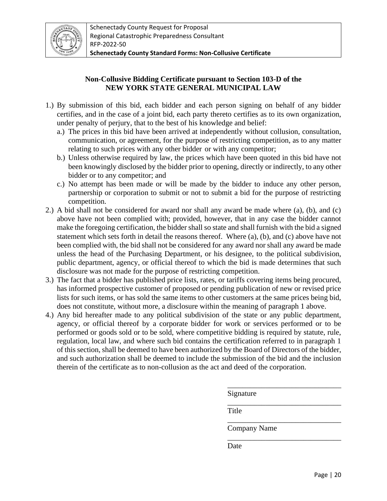

# **Non-Collusive Bidding Certificate pursuant to Section 103-D of the NEW YORK STATE GENERAL MUNICIPAL LAW**

- 1.) By submission of this bid, each bidder and each person signing on behalf of any bidder certifies, and in the case of a joint bid, each party thereto certifies as to its own organization, under penalty of perjury, that to the best of his knowledge and belief:
	- a.) The prices in this bid have been arrived at independently without collusion, consultation, communication, or agreement, for the purpose of restricting competition, as to any matter relating to such prices with any other bidder or with any competitor;
	- b.) Unless otherwise required by law, the prices which have been quoted in this bid have not been knowingly disclosed by the bidder prior to opening, directly or indirectly, to any other bidder or to any competitor; and
	- c.) No attempt has been made or will be made by the bidder to induce any other person, partnership or corporation to submit or not to submit a bid for the purpose of restricting competition.
- 2.) A bid shall not be considered for award nor shall any award be made where (a), (b), and (c) above have not been complied with; provided, however, that in any case the bidder cannot make the foregoing certification, the bidder shall so state and shall furnish with the bid a signed statement which sets forth in detail the reasons thereof. Where (a), (b), and (c) above have not been complied with, the bid shall not be considered for any award nor shall any award be made unless the head of the Purchasing Department, or his designee, to the political subdivision, public department, agency, or official thereof to which the bid is made determines that such disclosure was not made for the purpose of restricting competition.
- 3.) The fact that a bidder has published price lists, rates, or tariffs covering items being procured, has informed prospective customer of proposed or pending publication of new or revised price lists for such items, or has sold the same items to other customers at the same prices being bid, does not constitute, without more, a disclosure within the meaning of paragraph 1 above.
- 4.) Any bid hereafter made to any political subdivision of the state or any public department, agency, or official thereof by a corporate bidder for work or services performed or to be performed or goods sold or to be sold, where competitive bidding is required by statute, rule, regulation, local law, and where such bid contains the certification referred to in paragraph 1 of this section, shall be deemed to have been authorized by the Board of Directors of the bidder, and such authorization shall be deemed to include the submission of the bid and the inclusion therein of the certificate as to non-collusion as the act and deed of the corporation.

\_\_\_\_\_\_\_\_\_\_\_\_\_\_\_\_\_\_\_\_\_\_\_\_\_\_\_\_\_\_ Signature \_\_\_\_\_\_\_\_\_\_\_\_\_\_\_\_\_\_\_\_\_\_\_\_\_\_\_\_\_\_ Title \_\_\_\_\_\_\_\_\_\_\_\_\_\_\_\_\_\_\_\_\_\_\_\_\_\_\_\_\_\_ Company Name \_\_\_\_\_\_\_\_\_\_\_\_\_\_\_\_\_\_\_\_\_\_\_\_\_\_\_\_\_\_ Date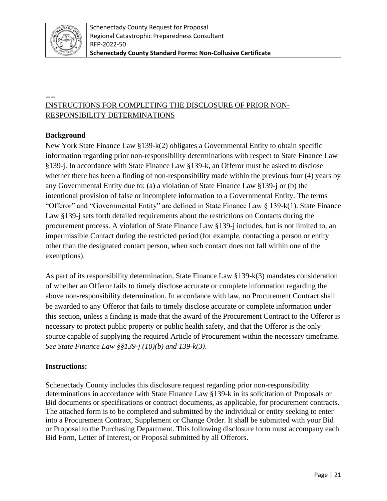

# **----** INSTRUCTIONS FOR COMPLETING THE DISCLOSURE OF PRIOR NON-RESPONSIBILITY DETERMINATIONS

# **Background**

New York State Finance Law §139-k(2) obligates a Governmental Entity to obtain specific information regarding prior non-responsibility determinations with respect to State Finance Law §139-j. In accordance with State Finance Law §139-k, an Offeror must be asked to disclose whether there has been a finding of non-responsibility made within the previous four (4) years by any Governmental Entity due to: (a) a violation of State Finance Law §139-j or (b) the intentional provision of false or incomplete information to a Governmental Entity. The terms "Offeror" and "Governmental Entity" are defined in State Finance Law § 139-k(1). State Finance Law §139-j sets forth detailed requirements about the restrictions on Contacts during the procurement process. A violation of State Finance Law §139-j includes, but is not limited to, an impermissible Contact during the restricted period (for example, contacting a person or entity other than the designated contact person, when such contact does not fall within one of the exemptions).

As part of its responsibility determination, State Finance Law §139-k(3) mandates consideration of whether an Offeror fails to timely disclose accurate or complete information regarding the above non-responsibility determination. In accordance with law, no Procurement Contract shall be awarded to any Offeror that fails to timely disclose accurate or complete information under this section, unless a finding is made that the award of the Procurement Contract to the Offeror is necessary to protect public property or public health safety, and that the Offeror is the only source capable of supplying the required Article of Procurement within the necessary timeframe. *See State Finance Law §§139-j (10)(b) and 139-k(3)*.

# **Instructions:**

Schenectady County includes this disclosure request regarding prior non-responsibility determinations in accordance with State Finance Law §139-k in its solicitation of Proposals or Bid documents or specifications or contract documents, as applicable, for procurement contracts. The attached form is to be completed and submitted by the individual or entity seeking to enter into a Procurement Contract, Supplement or Change Order. It shall be submitted with your Bid or Proposal to the Purchasing Department. This following disclosure form must accompany each Bid Form, Letter of Interest, or Proposal submitted by all Offerors.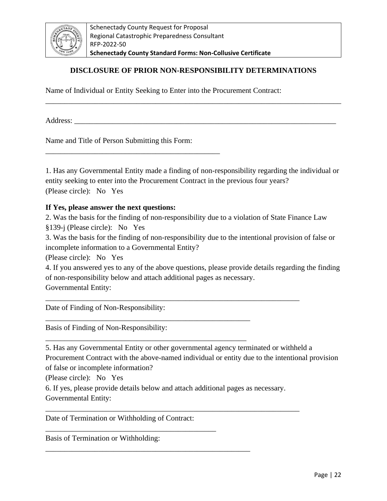

Schenectady County Request for Proposal Regional Catastrophic Preparedness Consultant RFP-2022-50 **Schenectady County Standard Forms: Non-Collusive Certificate**

#### **DISCLOSURE OF PRIOR NON-RESPONSIBILITY DETERMINATIONS**

\_\_\_\_\_\_\_\_\_\_\_\_\_\_\_\_\_\_\_\_\_\_\_\_\_\_\_\_\_\_\_\_\_\_\_\_\_\_\_\_\_\_\_\_\_\_\_\_\_\_\_\_\_\_\_\_\_\_\_\_\_\_\_\_\_\_\_\_\_\_\_\_\_\_\_\_\_\_

Name of Individual or Entity Seeking to Enter into the Procurement Contract:

Address: \_\_\_\_\_\_\_\_\_\_\_\_\_\_\_\_\_\_\_\_\_\_\_\_\_\_\_\_\_\_\_\_\_\_\_\_\_\_\_\_\_\_\_\_\_\_\_\_\_\_\_\_\_\_\_\_\_\_\_\_\_\_\_\_\_\_\_\_\_

Name and Title of Person Submitting this Form:

\_\_\_\_\_\_\_\_\_\_\_\_\_\_\_\_\_\_\_\_\_\_\_\_\_\_\_\_\_\_\_\_\_\_\_\_\_\_\_\_\_\_\_\_\_\_

1. Has any Governmental Entity made a finding of non-responsibility regarding the individual or entity seeking to enter into the Procurement Contract in the previous four years? (Please circle): No Yes

#### **If Yes, please answer the next questions:**

2. Was the basis for the finding of non-responsibility due to a violation of State Finance Law §139-j (Please circle): No Yes

3. Was the basis for the finding of non-responsibility due to the intentional provision of false or incomplete information to a Governmental Entity?

(Please circle): No Yes

4. If you answered yes to any of the above questions, please provide details regarding the finding of non-responsibility below and attach additional pages as necessary. Governmental Entity:

\_\_\_\_\_\_\_\_\_\_\_\_\_\_\_\_\_\_\_\_\_\_\_\_\_\_\_\_\_\_\_\_\_\_\_\_\_\_\_\_\_\_\_\_\_\_\_\_\_\_\_\_\_\_\_\_\_\_\_\_\_\_\_\_\_\_\_

\_\_\_\_\_\_\_\_\_\_\_\_\_\_\_\_\_\_\_\_\_\_\_\_\_\_\_\_\_\_\_\_\_\_\_\_\_\_\_\_\_\_\_\_\_\_\_\_\_\_\_\_\_\_

\_\_\_\_\_\_\_\_\_\_\_\_\_\_\_\_\_\_\_\_\_\_\_\_\_\_\_\_\_\_\_\_\_\_\_\_\_\_\_\_\_\_\_\_\_\_\_\_\_\_\_\_\_

Date of Finding of Non-Responsibility:

Basis of Finding of Non-Responsibility:

5. Has any Governmental Entity or other governmental agency terminated or withheld a Procurement Contract with the above-named individual or entity due to the intentional provision of false or incomplete information?

(Please circle): No Yes

6. If yes, please provide details below and attach additional pages as necessary. Governmental Entity:

\_\_\_\_\_\_\_\_\_\_\_\_\_\_\_\_\_\_\_\_\_\_\_\_\_\_\_\_\_\_\_\_\_\_\_\_\_\_\_\_\_\_\_\_\_\_\_\_\_\_\_\_\_\_\_\_\_\_\_\_\_\_\_\_\_\_\_

Date of Termination or Withholding of Contract:

\_\_\_\_\_\_\_\_\_\_\_\_\_\_\_\_\_\_\_\_\_\_\_\_\_\_\_\_\_\_\_\_\_\_\_\_\_\_\_\_\_\_\_\_\_

\_\_\_\_\_\_\_\_\_\_\_\_\_\_\_\_\_\_\_\_\_\_\_\_\_\_\_\_\_\_\_\_\_\_\_\_\_\_\_\_\_\_\_\_\_\_\_\_\_\_\_\_\_\_

Basis of Termination or Withholding: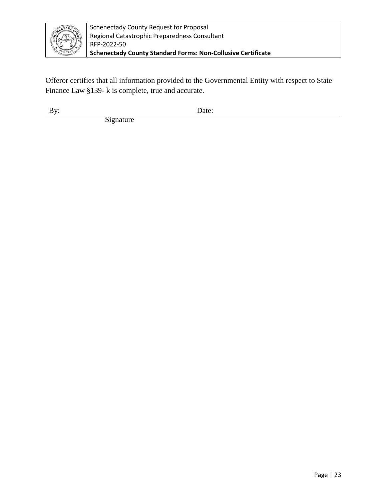

Offeror certifies that all information provided to the Governmental Entity with respect to State Finance Law §139- k is complete, true and accurate.

Signature

By: Date: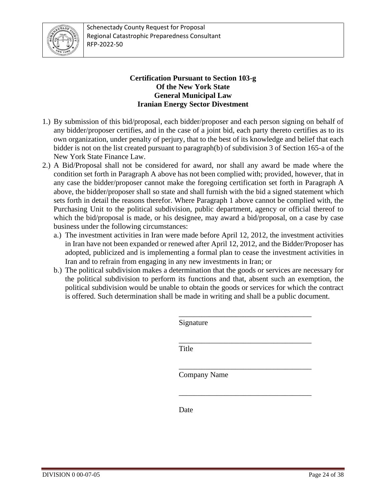

# **Certification Pursuant to Section 103-g Of the New York State General Municipal Law Iranian Energy Sector Divestment**

- 1.) By submission of this bid/proposal, each bidder/proposer and each person signing on behalf of any bidder/proposer certifies, and in the case of a joint bid, each party thereto certifies as to its own organization, under penalty of perjury, that to the best of its knowledge and belief that each bidder is not on the list created pursuant to paragraph(b) of subdivision 3 of Section 165-a of the New York State Finance Law.
- 2.) A Bid/Proposal shall not be considered for award, nor shall any award be made where the condition set forth in Paragraph A above has not been complied with; provided, however, that in any case the bidder/proposer cannot make the foregoing certification set forth in Paragraph A above, the bidder/proposer shall so state and shall furnish with the bid a signed statement which sets forth in detail the reasons therefor. Where Paragraph 1 above cannot be complied with, the Purchasing Unit to the political subdivision, public department, agency or official thereof to which the bid/proposal is made, or his designee, may award a bid/proposal, on a case by case business under the following circumstances:
	- a.) The investment activities in Iran were made before April 12, 2012, the investment activities in Iran have not been expanded or renewed after April 12, 2012, and the Bidder/Proposer has adopted, publicized and is implementing a formal plan to cease the investment activities in Iran and to refrain from engaging in any new investments in Iran; or
	- b.) The political subdivision makes a determination that the goods or services are necessary for the political subdivision to perform its functions and that, absent such an exemption, the political subdivision would be unable to obtain the goods or services for which the contract is offered. Such determination shall be made in writing and shall be a public document.

| Signature    |  |
|--------------|--|
| Title        |  |
| Company Name |  |

Date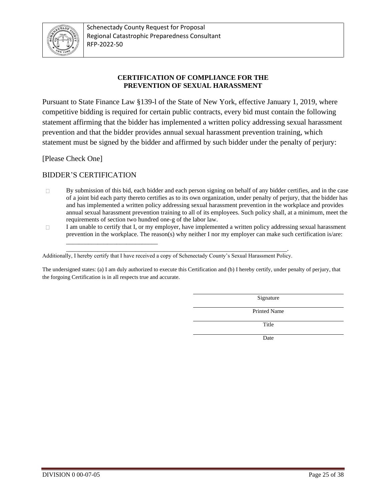

# **CERTIFICATION OF COMPLIANCE FOR THE PREVENTION OF SEXUAL HARASSMENT**

Pursuant to State Finance Law §139-l of the State of New York, effective January 1, 2019, where competitive bidding is required for certain public contracts, every bid must contain the following statement affirming that the bidder has implemented a written policy addressing sexual harassment prevention and that the bidder provides annual sexual harassment prevention training, which statement must be signed by the bidder and affirmed by such bidder under the penalty of perjury:

[Please Check One]

#### BIDDER'S CERTIFICATION

\_\_\_\_\_\_\_\_\_\_\_\_\_\_\_\_\_\_\_\_\_\_\_\_\_\_\_\_\_

- By submission of this bid, each bidder and each person signing on behalf of any bidder certifies, and in the case of a joint bid each party thereto certifies as to its own organization, under penalty of perjury, that the bidder has and has implemented a written policy addressing sexual harassment prevention in the workplace and provides annual sexual harassment prevention training to all of its employees. Such policy shall, at a minimum, meet the requirements of section two hundred one-g of the labor law.
- $\Box$  I am unable to certify that I, or my employer, have implemented a written policy addressing sexual harassment prevention in the workplace. The reason(s) why neither I nor my employer can make such certification is/are:

\_\_\_\_\_\_\_\_\_\_\_\_\_\_\_\_\_\_\_\_\_\_\_\_\_\_\_\_\_\_\_\_\_\_\_\_\_\_\_\_\_\_\_\_\_\_\_\_\_\_\_\_\_\_\_\_\_\_\_\_\_\_\_\_\_\_\_\_\_\_. Additionally, I hereby certify that I have received a copy of Schenectady County's Sexual Harassment Policy.

The undersigned states: (a) I am duly authorized to execute this Certification and (b) I hereby certify, under penalty of perjury, that the forgoing Certification is in all respects true and accurate.

Signature

Printed Name

Title

**Date**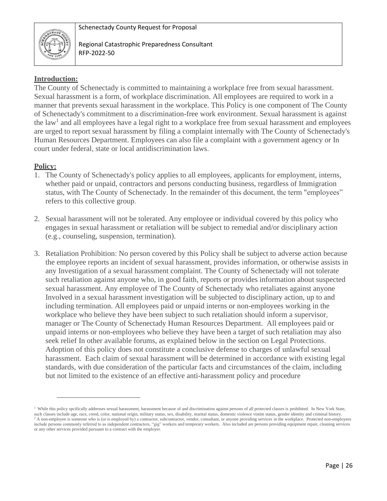Schenectady County Request for Proposal



Regional Catastrophic Preparedness Consultant RFP-2022-50

# **Introduction:**

The County of Schenectady is committed to maintaining a workplace free from sexual harassment. Sexual harassment is a form, of workplace discrimination. All employees are required to work in a manner that prevents sexual harassment in the workplace. This Policy is one component of The County of Schenectady's commitment to a discrimination-free work environment. Sexual harassment is against the law<sup>1</sup> and all employees have a legal right to a workplace free from sexual harassment and employees are urged to report sexual harassment by filing a complaint internally with The County of Schenectady's Human Resources Department. Employees can also file a complaint with a government agency or In court under federal, state or local antidiscrimination laws.

#### **Policy:**

\_\_\_\_\_\_\_\_\_\_\_\_\_\_\_\_\_\_\_\_\_\_

- 1. The County of Schenectady's policy applies to all employees, applicants for employment, interns, whether paid or unpaid, contractors and persons conducting business, regardless of Immigration status, with The County of Schenectady. In the remainder of this document, the term "employees" refers to this collective group.
- 2. Sexual harassment will not be tolerated. Any employee or individual covered by this policy who engages in sexual harassment or retaliation will be subject to remedial and/or disciplinary action (e.g., counseling, suspension, termination).
- 3. Retaliation Prohibition: No person covered by this Policy shall be subject to adverse action because the employee reports an incident of sexual harassment, provides information, or otherwise assists in any Investigation of a sexual harassment complaint. The County of Schenectady will not tolerate such retaliation against anyone who, in good faith, reports or provides information about suspected sexual harassment. Any employee of The County of Schenectady who retaliates against anyone Involved in a sexual harassment investigation will be subjected to disciplinary action, up to and including termination. All employees paid or unpaid interns or non-employees working in the workplace who believe they have been subject to such retaliation should inform a supervisor, manager or The County of Schenectady Human Resources Department. All employees paid or unpaid interns or non-employees who believe they have been a target of such retaliation may also seek relief In other available forums, as explained below in the section on Legal Protections. Adoption of this policy does not constitute a conclusive defense to charges of unlawful sexual harassment. Each claim of sexual harassment will be determined in accordance with existing legal standards, with due consideration of the particular facts and circumstances of the claim, including but not limited to the existence of an effective anti-harassment policy and procedure

<sup>&</sup>lt;sup>1</sup> While this policy spcifically addresses sexual harassment, harassment because of and discrimination against persons of all protected classes is prohibited. In New York State, such classes include age, race, creed, color, national origin, military status, sex, disability, marital status, domestic violence vistim status, gender identity and criminal history. <sup>2</sup> A non-employee is someone who is (or is employed by) a contractor, subcontractor, vendor, consultant, or anyone providing services in the workplace. Protected non-employees include persons commonly referred to as independent contractors, "gig" workers and temporary workers. Also included are persons providing equipment repair, cleaning services or any other services provided pursuant to a contract with the employer.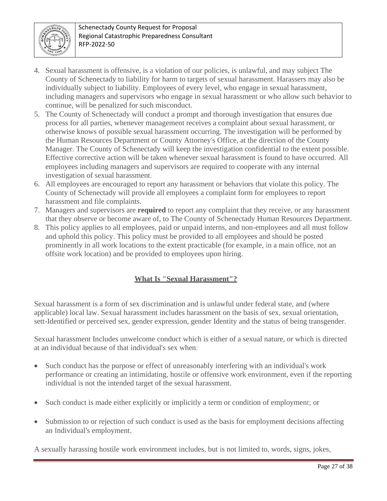

- 4. Sexual harassment is offensive, is a violation of our policies, is unlawful, and may subject The County of Schenectady to liability for harm to targets of sexual harassment. Harassers may also be individually subject to liability. Employees of every level, who engage in sexual harassment, including managers and supervisors who engage in sexual harassment or who allow such behavior to continue, will be penalized for such misconduct.
- 5. The County of Schenectady will conduct a prompt and thorough investigation that ensures due process for all parties, whenever management receives a complaint about sexual harassment, or otherwise knows of possible sexual harassment occurring. The investigation will be performed by the Human Resources Department or County Attorney's Office, at the direction of the County Manager. The County of Schenectady will keep the investigation confidential to the extent possible. Effective corrective action will be taken whenever sexual harassment is found to have occurred. All employees including managers and supervisors are required to cooperate with any internal investigation of sexual harassment.
- 6. All employees are encouraged to report any harassment or behaviors that violate this policy. The County of Schenectady will provide all employees a complaint form for employees to report harassment and file complaints.
- 7. Managers and supervisors are **required** to report any complaint that they receive, or any harassment that they observe or become aware of, to The County of Schenectady Human Resources Department.
- 8. This policy applies to all employees, paid or unpaid interns, and non-employees and all must follow and uphold this policy. This policy must be provided to all employees and should be posted prominently in all work locations to the extent practicable (for example, in a main office, not an offsite work location) and be provided to employees upon hiring.

# **What Is "Sexual Harassment"?**

Sexual harassment is a form of sex discrimination and is unlawful under federal state, and (where applicable) local law. Sexual harassment includes harassment on the basis of sex, sexual orientation, sett-Identified or perceived sex, gender expression, gender Identity and the status of being transgender.

Sexual harassment Includes unwelcome conduct which is either of a sexual nature, or which is directed at an individual because of that individual's sex when:

- Such conduct has the purpose or effect of unreasonably interfering with an individual's work performance or creating an intimidating, hostile or offensive work environment, even if the reporting individual is not the intended target of the sexual harassment.
- Such conduct is made either explicitly or implicitly a term or condition of employment; or
- Submission to or rejection of such conduct is used as the basis for employment decisions affecting an Individual's employment.

A sexually harassing hostile work environment includes, but is not limited to, words, signs, jokes,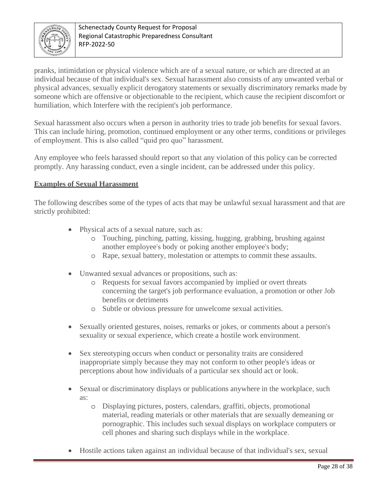

pranks, intimidation or physical violence which are of a sexual nature, or which are directed at an individual because of that individual's sex. Sexual harassment also consists of any unwanted verbal or physical advances, sexually explicit derogatory statements or sexually discriminatory remarks made by someone which are offensive or objectionable to the recipient, which cause the recipient discomfort or humiliation, which Interfere with the recipient's job performance.

Sexual harassment also occurs when a person in authority tries to trade job benefits for sexual favors. This can include hiring, promotion, continued employment or any other terms, conditions or privileges of employment. This is also called "quid pro quo" harassment.

Any employee who feels harassed should report so that any violation of this policy can be corrected promptly. Any harassing conduct, even a single incident, can be addressed under this policy.

#### **Examples of Sexual Harassment**

The following describes some of the types of acts that may be unlawful sexual harassment and that are strictly prohibited:

- Physical acts of a sexual nature, such as:
	- o Touching, pinching, patting, kissing, hugging, grabbing, brushing against another employee's body or poking another employee's body;
	- o Rape, sexual battery, molestation or attempts to commit these assaults.
- Unwanted sexual advances or propositions, such as:
	- o Requests for sexual favors accompanied by implied or overt threats concerning the target's job performance evaluation, a promotion or other Job benefits or detriments
	- o Subtle or obvious pressure for unwelcome sexual activities.
- Sexually oriented gestures, noises, remarks or jokes, or comments about a person's sexuality or sexual experience, which create a hostile work environment.
- Sex stereotyping occurs when conduct or personality traits are considered inappropriate simply because they may not conform to other people's ideas or perceptions about how individuals of a particular sex should act or look.
- Sexual or discriminatory displays or publications anywhere in the workplace, such as:
	- o Displaying pictures, posters, calendars, graffiti, objects, promotional material, reading materials or other materials that are sexually demeaning or pornographic. This includes such sexual displays on workplace computers or cell phones and sharing such displays while in the workplace.
- Hostile actions taken against an individual because of that individual's sex, sexual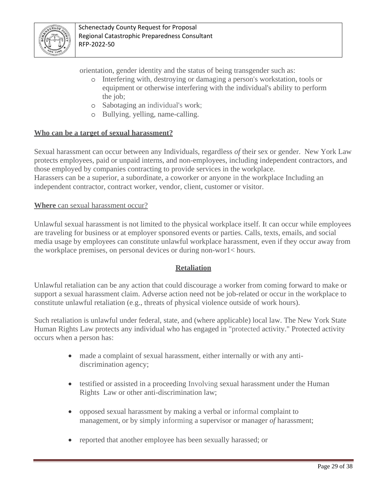

orientation, gender identity and the status of being transgender such as:

- o Interfering with, destroying or damaging a person's workstation, tools or equipment or otherwise interfering with the individual's ability to perform the job;
- o Sabotaging an individual's work;
- o Bullying, yelling, name-calling.

#### **Who can be a target of sexual harassment?**

Sexual harassment can occur between any Individuals, regardless *of* their sex or gender. New York Law protects employees, paid or unpaid interns, and non-employees, including independent contractors, and those employed by companies contracting to provide services in the workplace. Harassers can be a superior, a subordinate, a coworker or anyone in the workplace Including an independent contractor, contract worker, vendor, client, customer or visitor.

#### **Where** can sexual harassment occur?

Unlawful sexual harassment is not limited to the physical workplace itself. It can occur while employees are traveling for business or at employer sponsored events or parties. Calls, texts, emails, and social media usage by employees can constitute unlawful workplace harassment, even if they occur away from the workplace premises, on personal devices or during non-wor1< hours.

#### **Retaliation**

Unlawful retaliation can be any action that could discourage a worker from coming forward to make or support a sexual harassment claim. Adverse action need not be job-related or occur in the workplace to constitute unlawful retaliation (e.g., threats of physical violence outside of work hours).

Such retaliation is unlawful under federal, state, and (where applicable) local law. The New York State Human Rights Law protects any individual who has engaged in "protected activity." Protected activity occurs when a person has:

- made a complaint of sexual harassment, either internally or with any antidiscrimination agency;
- testified or assisted in a proceeding Involving sexual harassment under the Human Rights Law or other anti-discrimination law;
- opposed sexual harassment by making a verbal or informal complaint to management, or by simply informing a supervisor or manager *of* harassment;
- reported that another employee has been sexually harassed; or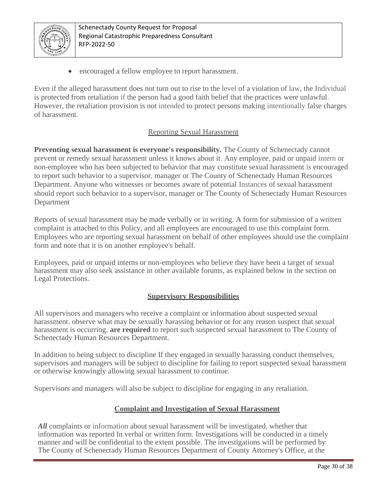

• encouraged a fellow employee to report harassment.

Even if the alleged harassment does not turn out to rise to the level of a violation of law, the Individual is protected from retaliation if the person had a good faith belief that the practices were unlawful. However, the retaliation provision is not intended to protect persons making intentionally false charges of harassment.

# Reporting Sexual Harassment

**Preventing sexual harassment is everyone's responsibility.** The County of Schenectady cannot prevent or remedy sexual harassment unless it knows about it. Any employee, paid or unpaid intern or non-employee who has been subjected to behavior that may constitute sexual harassment is encouraged to report such behavior to a supervisor, manager or The County of Schenectady Human Resources Department. Anyone who witnesses or becomes aware of potential Instances of sexual harassment should report such behavior to a supervisor, manager or The County of Schenectady Human Resources Department

Reports of sexual harassment may be made verbally or in writing. A form for submission of a written complaint is attached to this Policy, and all employees are encouraged to use this complaint form. Employees who are reporting sexual harassment on behalf of other employees should use the complaint form and note that it is on another employee's behalf.

Employees, paid or unpaid interns or non-employees who believe they have been a target of sexual harassment may also seek assistance in other available forums, as explained below in the section on Legal Protections.

# **Supervisory Responsibilities**

All supervisors and managers who receive a complaint or information about suspected sexual harassment. observe what may be sexually harassing behavior or for any reason suspect that sexual harassment is occurring, **are required** to report such suspected sexual harassment to The County of Schenectady Human Resources Department.

In addition to being subject to discipline If they engaged in sexually harassing conduct themselves, supervisors and managers will be subject to discipline for failing to report suspected sexual harassment or otherwise knowingly allowing sexual harassment to continue.

Supervisors and managers will also be subject to discipline for engaging in any retaliation.

# **Complaint and Investigation of Sexual Harassment**

*All* complaints or information about sexual harassment will be investigated, whether that information was reported In verbal or written form. Investigations will be conducted in a timely manner and will be confidential to the extent possible. The investigations will be performed by The County of Schenectady Human Resources Department of County Attorney's Office, at the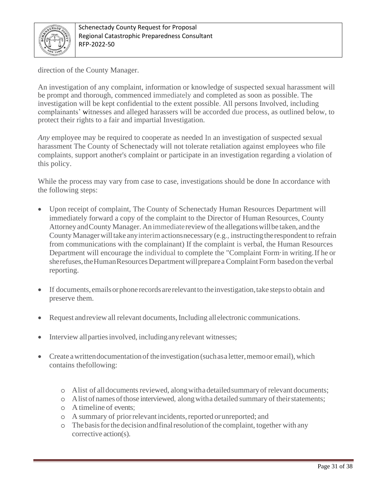

direction of the County Manager.

An investigation of any complaint, information or knowledge of suspected sexual harassment will be prompt and thorough, commenced immediately and completed as soon as possible. The investigation will be kept confidential to the extent possible. All persons Involved, including complainants' witnesses and alleged harassers will be accorded due process, as outlined below, to protect their rights to a fair and impartial Investigation.

*Any* employee may be required to cooperate as needed In an investigation of suspected sexual harassment The County of Schenectady will not tolerate retaliation against employees who file complaints, support another's complaint or participate in an investigation regarding a violation of this policy.

While the process may vary from case to case, investigations should be done In accordance with the following steps:

- Upon receipt of complaint, The County of Schenectady Human Resources Department will immediately forward a copy of the complaint to the Director of Human Resources, County Attorney andCounty Manager. An immediatereviewof the allegationswillbe taken, andthe County Manager will take any interim actions necessary (e.g., instructing the respondent to refrain from communications with the complainant) If the complaint is verbal, the Human Resources Department will encourage the individual to complete the "Complaint Form·in writing.If he or sherefuses, the Human Resources Department will prepare a Complaint Form based on the verbal reporting.
- If documents, emails or phone records are relevant to the investigation, take steps to obtain and preserve them.
- Request and review all relevant documents, Including all electronic communications.
- Interview all parties involved, including any relevant witnesses;
- Create a written documentation of the investigation (such as a letter, memo or email), which contains thefollowing:
	- $\circ$  Alist of all documents reviewed, along with a detailed summary of relevant documents;
	- o Alistof names ofthose interviewed, alongwitha detailed summary of theirstatements;
	- o Atimeline of events;
	- o A summary of priorrelevantincidents,reported orunreported; and
	- o Thebasisforthe decision andfinalresolutionof the complaint, together with any corrective action(s).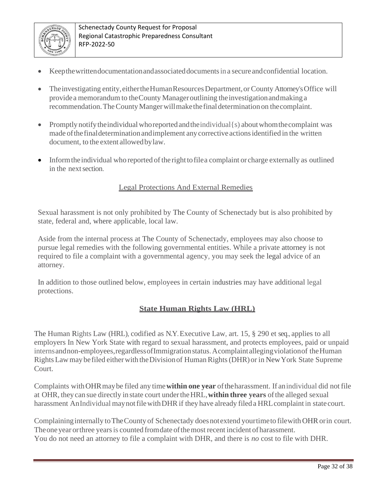

- Keepthewrittendocumentationandassociateddocumentsina secureandconfidential location.
- The investigating entity, either the Human Resources Department, or County Attorney's Office will providea memorandum to theCounty Manageroutlining theinvestigationandmaking a recommendation.TheCountyMangerwillmakethefinaldetermination on thecomplaint.
- Promptly notify the individual whore ported and theindividual  $\{s\}$  about whom the complaint was made ofthefinaldeterminationandimplement anycorrective actionsidentified in the written document, to the extent allowedbylaw.
- $\bullet$  Inform the individual who reported of the right to file a complaint or charge externally as outlined in the next section.

# Legal Protections And External Remedies

Sexual harassment is not only prohibited by The County of Schenectady but is also prohibited by state, federal and, where applicable, local law.

Aside from the internal process at The County of Schenectady, employees may also choose to pursue legal remedies with the following governmental entities. While a private attorney is not required to file a complaint with a governmental agency, you may seek the legal advice of an attorney.

In addition to those outlined below, employees in certain industries may have additional legal protections.

# **State Human Rights Law (HRL)**

The Human Rights Law (HRL), codified as N.Y. Executive Law, art. 15, § 290 et seq., applies to all employers In New York State with regard to sexual harassment, and protects employees, paid or unpaid internsandnon-employees,regardlessofImmigrationstatus.Acomplaintallegingviolationof theHuman RightsLawmay befiled eitherwith theDivisionof HumanRights(DHR)or in NewYork State Supreme Court.

Complaints withOHRmaybe filed any time**within one year** oftheharassment. If anindividual did not file at OHR, they can sue directly instate court undertheHRL,**within three years** ofthe alleged sexual harassment AnIndividual may not file with DHR if they have already filed a HRL complaint in state court.

Complaininginternally toTheCounty of Schenectady doesnotextend yourtimeto filewith OHRorin court. The one year or three years is counted from date of the most recent incident of harassment. You do not need an attorney to file a complaint with DHR, and there is *no* cost to file with DHR.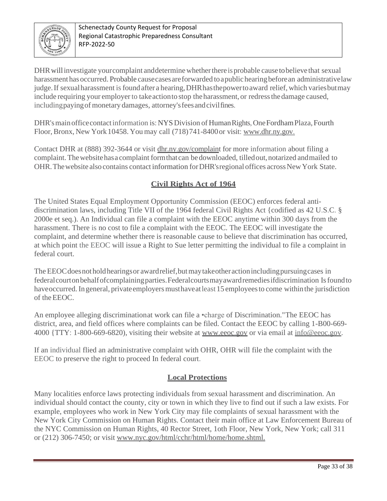

DHR will investigate your complaint and determine whether there is probable cause to believe that sexual harassment has occurred. Probable cause cases are forwarded to a public hearing before an administrative law judge. If sexual harassment is found after a hearing, DHR has the power to award relief, which varies but may include requiring your employer to take action to stop the harassment, or redress the damage caused, including paying of monetary damages, attorney's fees and civil fines.

DHR's main office contact information is: NYS Division of Human Rights, One Fordham Plaza, Fourth Floor, Bronx, New York 10458. You may call (718)741-8400 or visit: [www.dhr.ny.gov.](http://www.dhr.ny.gov/)

Contact DHR at (888) 392-3644 or visit dhr.ny.gov/complaint for more information about filing a complaint.Thewebsitehasa complaint formthatcan bedownloaded, tilledout,notarized andmailed to OHR. The website also contains contact information for DHR's regional offices across New York State.

# **Civil Rights Act of 1964**

The United States Equal Employment Opportunity Commission (EEOC) enforces federal antidiscrimination laws, including Title VII of the 1964 federal Civil Rights Act {codified as 42 U.S.C. § 2000e et seq.). An Individual can file a complaint with the EEOC anytime within 300 days from the harassment. There is no cost to file a complaint with the EEOC. The EEOC will investigate the complaint, and determine whether there is reasonable cause to believe that discrimination has occurred, at which point the EEOC will issue a Right to Sue letter permitting the individual to file a complaint in federal court.

The EEOCdoesnotholdhearingsor awardrelief,butmaytakeotheractionincludingpursuingcases in federalcourtonbehalfofcomplainingparties.Federalcourtsmayawardremediesifdiscrimination Isfoundto have occurred. In general, private employers must have at least 15 employees to come within the jurisdiction of theEEOC.

An employee alleging discriminationat work can file a •charge of Discrimination."The EEOC has district, area, and field offices where complaints can be filed. Contact the EEOC by calling 1-B00-669- 4000 {TTY: 1-800-669-6820), visiting their website at [www.eeoc.gov](http://www.eeoc.gov/) or via email at [info@eeoc.gov.](mailto:info@eeoc.gov)

If an individual flied an administrative complaint with OHR, OHR will file the complaint with the EEOC to preserve the right to proceed In federal court.

# **Local Protections**

Many localities enforce laws protecting individuals from sexual harassment and discrimination. An individual should contact the county, city or town in which they live to find out if such a law exists. For example, employees who work in New York City may file complaints of sexual harassment with the New York City Commission on Human Rights. Contact their main office at Law Enforcement Bureau of the NYC Commission on Human Rights, 40 Rector Street, 1oth Floor, New York, New York; call 311 or (212) 306-7450; or visit [www.nyc.gov/html/cchr/html/home/home.shtml.](http://www.nyc.gov/html/cchr/html/home/home.shtml)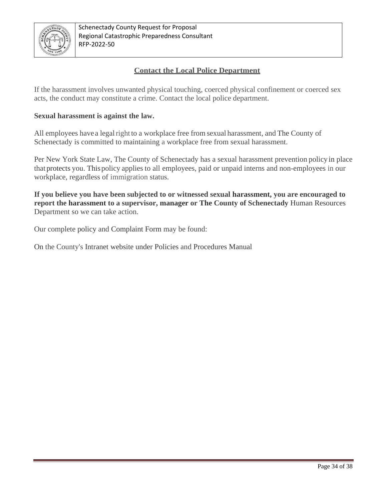

# **Contact the Local Police Department**

If the harassment involves unwanted physical touching, coerced physical confinement or coerced sex acts, the conduct may constitute a crime. Contact the local police department.

#### **Sexual harassment is against the law.**

All employees have a legal right to a workplace free from sexual harassment, and The County of Schenectady is committed to maintaining a workplace free from sexual harassment.

Per New York State Law, The County of Schenectady has a sexual harassment prevention policy in place that protects you. Thispolicy applies to all employees, paid or unpaid interns and non-employees in our workplace, regardless of immigration status.

**If you believe you have been subjected to or witnessed sexual harassment, you are encouraged to report the harassment to a supervisor, manager or The County of Schenectady** Human Resources Department so we can take action.

Our complete policy and Complaint Form may be found:

On the County's Intranet website under Policies and Procedures Manual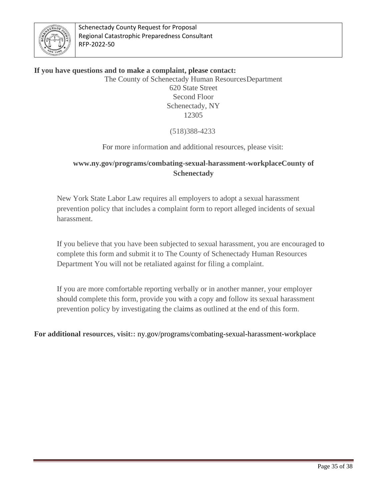

#### **If you have questions and to make a complaint, please contact:**

The County of Schenectady Human ResourcesDepartment 620 State Street Second Floor Schenectady, NY 12305

#### (518)388-4233

#### For more information and additional resources, please visit:

# **[www.ny.gov/programs/combating-sexual-harassment-workplaceC](http://www.ny.gov/programs/combating-sexual-harassment-workplace)ounty of Schenectady**

New York State Labor Law requires all employers to adopt a sexual harassment prevention policy that includes a complaint form to report alleged incidents of sexual harassment.

If you believe that you have been subjected to sexual harassment, you are encouraged to complete this form and submit it to The County of Schenectady Human Resources Department You will not be retaliated against for filing a complaint.

If you are more comfortable reporting verbally or in another manner, your employer should complete this form, provide you with a copy and follow its sexual harassment prevention policy by investigating the claims as outlined at the end of this form.

**For additional resources, visit::** ny.gov/programs/combating-sexual-harassment-workplace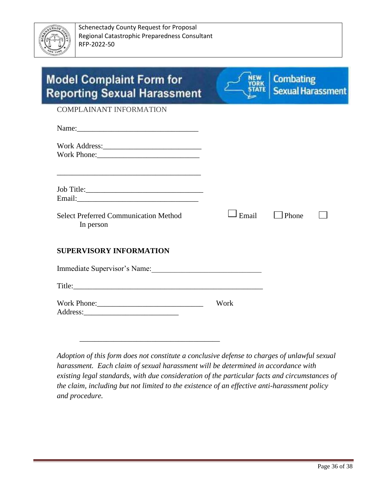

| <b>Model Complaint Form for</b><br><b>Reporting Sexual Harassment</b>                                                          |       | <b>Combating</b><br><b>Sexual Harassmen</b> |  |
|--------------------------------------------------------------------------------------------------------------------------------|-------|---------------------------------------------|--|
| <b>COMPLAINANT INFORMATION</b>                                                                                                 |       |                                             |  |
|                                                                                                                                |       |                                             |  |
| Work Address:                                                                                                                  |       |                                             |  |
| and the control of the control of the control of the control of the control of the control of the control of the<br>Job Title: |       |                                             |  |
| <b>Select Preferred Communication Method</b><br>In person                                                                      | Email | <b>Phone</b>                                |  |
| <b>SUPERVISORY INFORMATION</b>                                                                                                 |       |                                             |  |
| Immediate Supervisor's Name:                                                                                                   |       |                                             |  |
|                                                                                                                                |       |                                             |  |
|                                                                                                                                | Work  |                                             |  |

*Adoption of this form does not constitute a conclusive defense to charges of unlawful sexual harassment. Each claim of sexual harassment will be determined in accordance with existing legal standards, with due consideration of the particular facts and circumstances of the claim, including but not limited to the existence of an effective anti-harassment policy and procedure.*

\_\_\_\_\_\_\_\_\_\_\_\_\_\_\_\_\_\_\_\_\_\_\_\_\_\_\_\_\_\_\_\_\_\_\_\_\_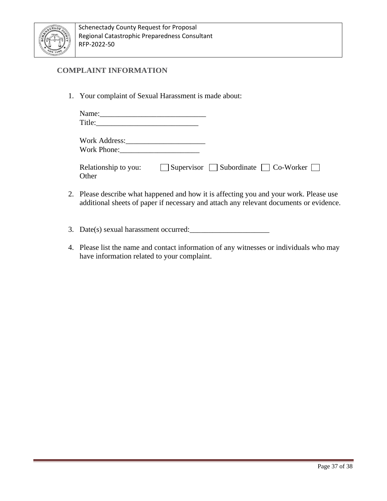

# **COMPLAINT INFORMATION**

1. Your complaint of Sexual Harassment is made about:

| Title:                                                                                     |
|--------------------------------------------------------------------------------------------|
| Work Address: 2008                                                                         |
| Work Phone: New York District Phone 2014                                                   |
| Relationship to you: $\Box$ Supervisor $\Box$ Subordinate $\Box$ Co-Worker $\Box$<br>Other |
| 2. Please describe what happened and how it is affecting you and your work. Please use     |

- additional sheets of paper if necessary and attach any relevant documents or evidence.
- 3. Date(s) sexual harassment occurred:
- 4. Please list the name and contact information of any witnesses or individuals who may have information related to your complaint.